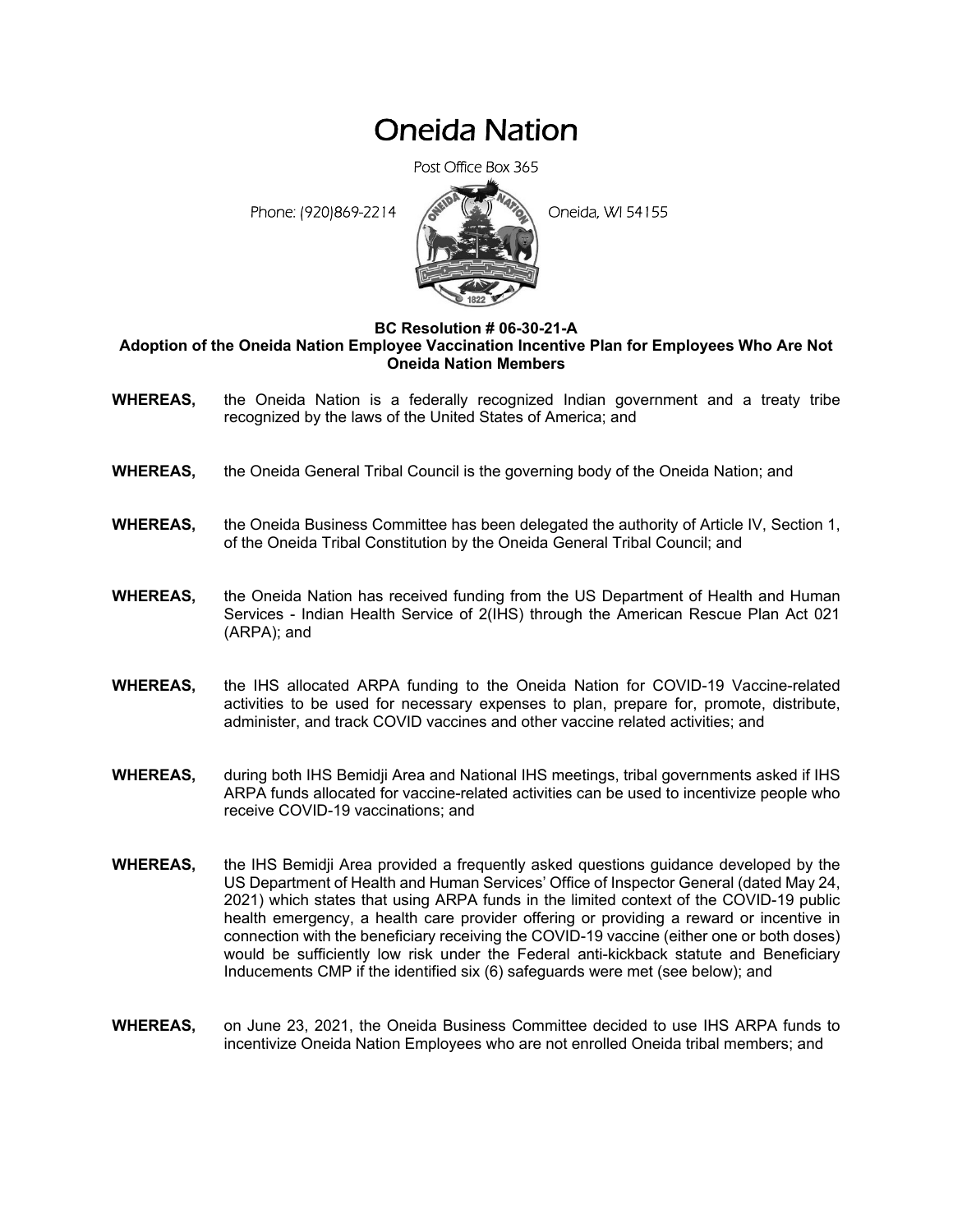# Oneida Nation

Post Office Box 365

Phone: (920)869-2214 **Conduct** Oneida, WI 54155



# **BC Resolution # 06-30-21-A**

### **Adoption of the Oneida Nation Employee Vaccination Incentive Plan for Employees Who Are Not Oneida Nation Members**

- **WHEREAS,** the Oneida Nation is a federally recognized Indian government and a treaty tribe recognized by the laws of the United States of America; and
- **WHEREAS,** the Oneida General Tribal Council is the governing body of the Oneida Nation; and
- **WHEREAS,** the Oneida Business Committee has been delegated the authority of Article IV, Section 1, of the Oneida Tribal Constitution by the Oneida General Tribal Council; and
- **WHEREAS,** the Oneida Nation has received funding from the US Department of Health and Human Services - Indian Health Service of 2(IHS) through the American Rescue Plan Act 021 (ARPA); and
- **WHEREAS,** the IHS allocated ARPA funding to the Oneida Nation for COVID-19 Vaccine-related activities to be used for necessary expenses to plan, prepare for, promote, distribute, administer, and track COVID vaccines and other vaccine related activities; and
- **WHEREAS,** during both IHS Bemidji Area and National IHS meetings, tribal governments asked if IHS ARPA funds allocated for vaccine-related activities can be used to incentivize people who receive COVID-19 vaccinations; and
- **WHEREAS,** the IHS Bemidji Area provided a frequently asked questions guidance developed by the US Department of Health and Human Services' Office of Inspector General (dated May 24, 2021) which states that using ARPA funds in the limited context of the COVID-19 public health emergency, a health care provider offering or providing a reward or incentive in connection with the beneficiary receiving the COVID-19 vaccine (either one or both doses) would be sufficiently low risk under the Federal anti-kickback statute and Beneficiary Inducements CMP if the identified six (6) safeguards were met (see below); and
- **WHEREAS,** on June 23, 2021, the Oneida Business Committee decided to use IHS ARPA funds to incentivize Oneida Nation Employees who are not enrolled Oneida tribal members; and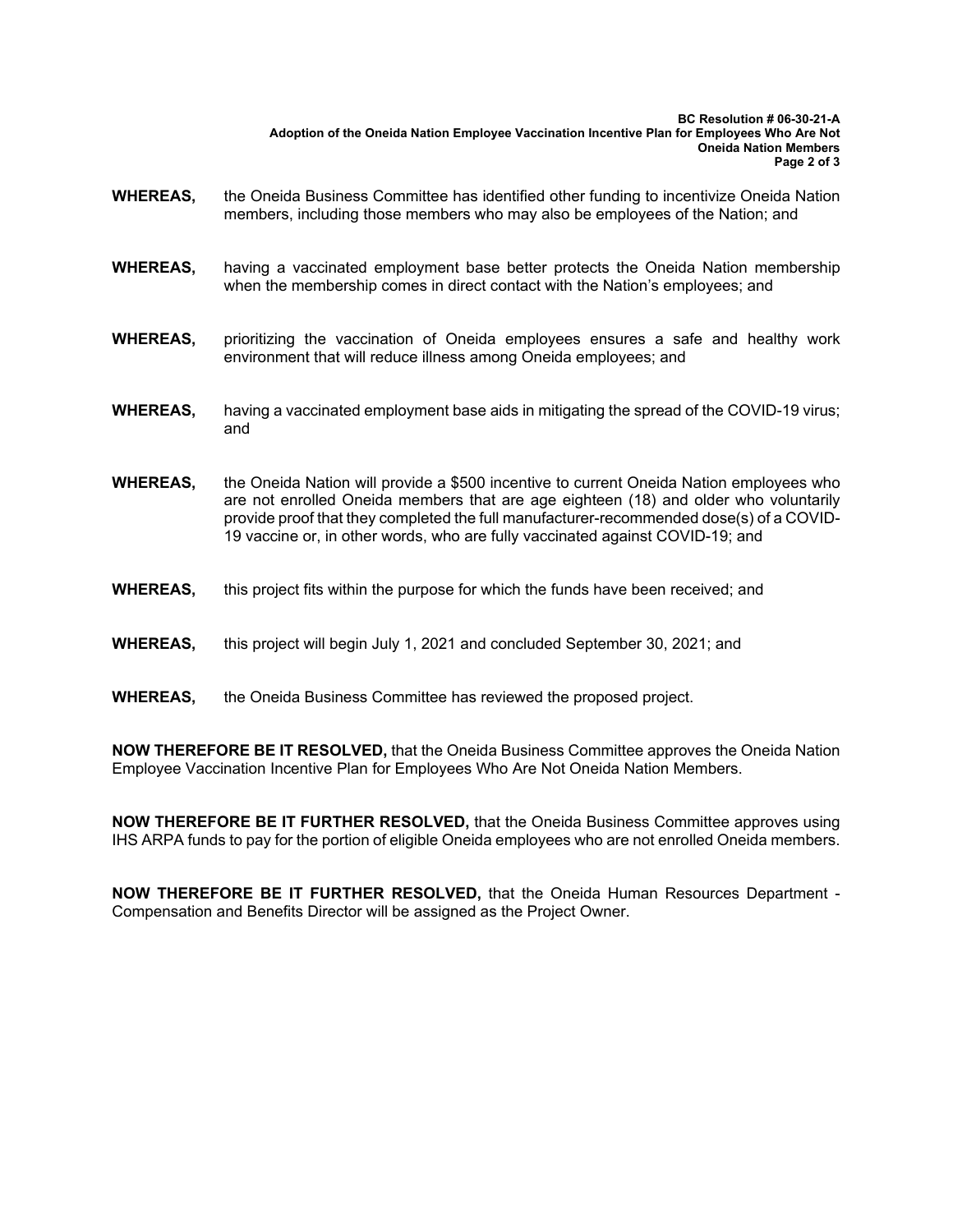#### **BC Resolution # 06-30-21-A Adoption of the Oneida Nation Employee Vaccination Incentive Plan for Employees Who Are Not Oneida Nation Members Page 2 of 3**

- **WHEREAS,** the Oneida Business Committee has identified other funding to incentivize Oneida Nation members, including those members who may also be employees of the Nation; and
- **WHEREAS,** having a vaccinated employment base better protects the Oneida Nation membership when the membership comes in direct contact with the Nation's employees; and
- **WHEREAS,** prioritizing the vaccination of Oneida employees ensures a safe and healthy work environment that will reduce illness among Oneida employees; and
- **WHEREAS,** having a vaccinated employment base aids in mitigating the spread of the COVID-19 virus; and
- **WHEREAS,** the Oneida Nation will provide a \$500 incentive to current Oneida Nation employees who are not enrolled Oneida members that are age eighteen (18) and older who voluntarily provide proof that they completed the full manufacturer-recommended dose(s) of a COVID-19 vaccine or, in other words, who are fully vaccinated against COVID-19; and
- **WHEREAS,** this project fits within the purpose for which the funds have been received; and
- **WHEREAS,** this project will begin July 1, 2021 and concluded September 30, 2021; and
- **WHEREAS,** the Oneida Business Committee has reviewed the proposed project.

**NOW THEREFORE BE IT RESOLVED,** that the Oneida Business Committee approves the Oneida Nation Employee Vaccination Incentive Plan for Employees Who Are Not Oneida Nation Members.

**NOW THEREFORE BE IT FURTHER RESOLVED,** that the Oneida Business Committee approves using IHS ARPA funds to pay for the portion of eligible Oneida employees who are not enrolled Oneida members.

**NOW THEREFORE BE IT FURTHER RESOLVED,** that the Oneida Human Resources Department - Compensation and Benefits Director will be assigned as the Project Owner.